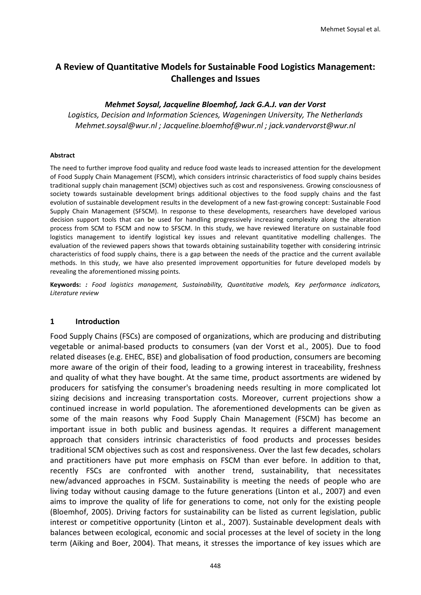# **A Review of Quantitative Models for Sustainable Food Logistics Management: Challenges and Issues**

#### *Mehmet Soysal, Jacqueline Bloemhof, Jack G.A.J. van der Vorst*

*Logistics, Decision and Information Sciences, Wageningen University, The Netherlands [Mehmet.soysal@wur.nl](mailto:Mehmet.soysal@wur.nl) ; [Jacqueline.bloemhof@wur.nl](mailto:Jacqueline.bloemhof@wur.nl) ; [jack.vandervorst@wur.nl](mailto:jack.vandervorst@wur.nl)*

#### **Abstract**

The need to further improve food quality and reduce food waste leads to increased attention for the development of Food Supply Chain Management (FSCM), which considers intrinsic characteristics of food supply chains besides traditional supply chain management (SCM) objectives such as cost and responsiveness. Growing consciousness of society towards sustainable development brings additional objectives to the food supply chains and the fast evolution of sustainable development results in the development of a new fast-growing concept: Sustainable Food Supply Chain Management (SFSCM). In response to these developments, researchers have developed various decision support tools that can be used for handling progressively increasing complexity along the alteration process from SCM to FSCM and now to SFSCM. In this study, we have reviewed literature on sustainable food logistics management to identify logistical key issues and relevant quantitative modelling challenges. The evaluation of the reviewed papers shows that towards obtaining sustainability together with considering intrinsic characteristics of food supply chains, there is a gap between the needs of the practice and the current available methods. In this study, we have also presented improvement opportunities for future developed models by revealing the aforementioned missing points.

**Keywords:** *: Food logistics management, Sustainability, Quantitative models, Key performance indicators, Literature review*

#### **1 Introduction**

Food Supply Chains (FSCs) are composed of organizations, which are producing and distributing vegetable or animal-based products to consumers [\(van der Vorst et al., 2005\)](#page-14-0). Due to food related diseases (e.g. EHEC, BSE) and globalisation of food production, consumers are becoming more aware of the origin of their food, leading to a growing interest in traceability, freshness and quality of what they have bought. At the same time, product assortments are widened by producers for satisfying the consumer's broadening needs resulting in more complicated lot sizing decisions and increasing transportation costs. Moreover, current projections show a continued increase in world population. The aforementioned developments can be given as some of the main reasons why Food Supply Chain Management (FSCM) has become an important issue in both public and business agendas. It requires a different management approach that considers intrinsic characteristics of food products and processes besides traditional SCM objectives such as cost and responsiveness. Over the last few decades, scholars and practitioners have put more emphasis on FSCM than ever before. In addition to that, recently FSCs are confronted with another trend, sustainability, that necessitates new/advanced approaches in FSCM. Sustainability is meeting the needs of people who are living today without causing damage to the future generations [\(Linton et al., 2007\)](#page-13-0) and even aims to improve the quality of life for generations to come, not only for the existing people [\(Bloemhof, 2005\)](#page-12-0). Driving factors for sustainability can be listed as current legislation, public interest or competitive opportunity [\(Linton et al., 2007\)](#page-13-0). Sustainable development deals with balances between ecological, economic and social processes at the level of society in the long term [\(Aiking and Boer, 2004\)](#page-12-1). That means, it stresses the importance of key issues which are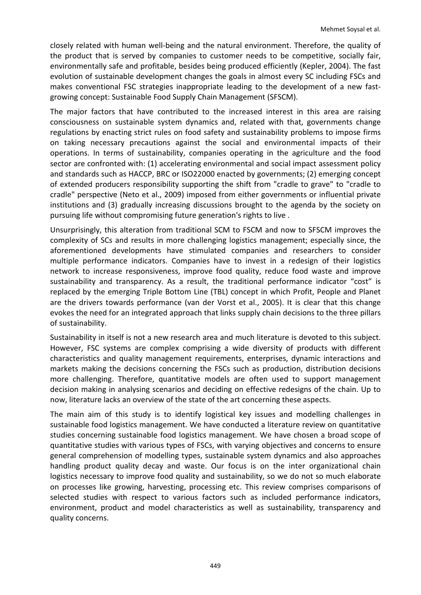closely related with human well-being and the natural environment. Therefore, the quality of the product that is served by companies to customer needs to be competitive, socially fair, environmentally safe and profitable, besides being produced efficiently [\(Kepler, 2004\)](#page-13-1). The fast evolution of sustainable development changes the goals in almost every SC including FSCs and makes conventional FSC strategies inappropriate leading to the development of a new fastgrowing concept: Sustainable Food Supply Chain Management (SFSCM).

The major factors that have contributed to the increased interest in this area are raising consciousness on sustainable system dynamics and, related with that, governments change regulations by enacting strict rules on food safety and sustainability problems to impose firms on taking necessary precautions against the social and environmental impacts of their operations. In terms of sustainability, companies operating in the agriculture and the food sector are confronted with: (1) accelerating environmental and social impact assessment policy and standards such as HACCP, BRC or ISO22000 enacted by governments; (2) emerging concept of extended producers responsibility supporting the shift from "cradle to grave" to "cradle to cradle" perspective [\(Neto et al., 2009\)](#page-13-2) imposed from either governments or influential private institutions and (3) gradually increasing discussions brought to the agenda by the society on pursuing life without compromising future generation's rights to live .

Unsurprisingly, this alteration from traditional SCM to FSCM and now to SFSCM improves the complexity of SCs and results in more challenging logistics management; especially since, the aforementioned developments have stimulated companies and researchers to consider multiple performance indicators. Companies have to invest in a redesign of their logistics network to increase responsiveness, improve food quality, reduce food waste and improve sustainability and transparency. As a result, the traditional performance indicator "cost" is replaced by the emerging Triple Bottom Line (TBL) concept in which Profit, People and Planet are the drivers towards performance [\(van der Vorst et al., 2005\)](#page-14-0). It is clear that this change evokes the need for an integrated approach that links supply chain decisions to the three pillars of sustainability.

Sustainability in itself is not a new research area and much literature is devoted to this subject. However, FSC systems are complex comprising a wide diversity of products with different characteristics and quality management requirements, enterprises, dynamic interactions and markets making the decisions concerning the FSCs such as production, distribution decisions more challenging. Therefore, quantitative models are often used to support management decision making in analysing scenarios and deciding on effective redesigns of the chain. Up to now, literature lacks an overview of the state of the art concerning these aspects.

The main aim of this study is to identify logistical key issues and modelling challenges in sustainable food logistics management. We have conducted a literature review on quantitative studies concerning sustainable food logistics management. We have chosen a broad scope of quantitative studies with various types of FSCs, with varying objectives and concerns to ensure general comprehension of modelling types, sustainable system dynamics and also approaches handling product quality decay and waste. Our focus is on the inter organizational chain logistics necessary to improve food quality and sustainability, so we do not so much elaborate on processes like growing, harvesting, processing etc. This review comprises comparisons of selected studies with respect to various factors such as included performance indicators, environment, product and model characteristics as well as sustainability, transparency and quality concerns.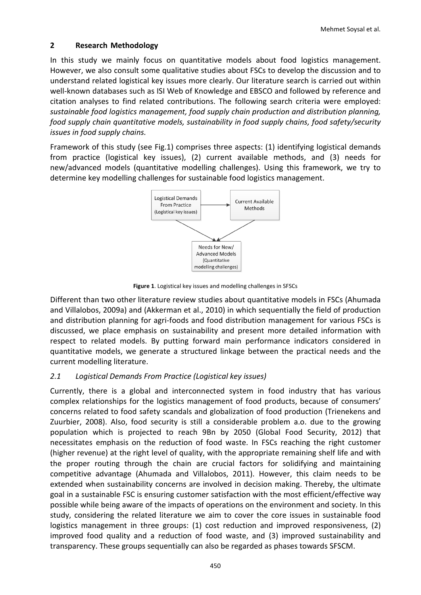# **2 Research Methodology**

In this study we mainly focus on quantitative models about food logistics management. However, we also consult some qualitative studies about FSCs to develop the discussion and to understand related logistical key issues more clearly. Our literature search is carried out within well-known databases such as ISI Web of Knowledge and EBSCO and followed by reference and citation analyses to find related contributions. The following search criteria were employed: *sustainable food logistics management, food supply chain production and distribution planning, food supply chain quantitative models, sustainability in food supply chains, food safety/security issues in food supply chains.* 

Framework of this study (see Fig.1) comprises three aspects: (1) identifying logistical demands from practice (logistical key issues), (2) current available methods, and (3) needs for new/advanced models (quantitative modelling challenges). Using this framework, we try to determine key modelling challenges for sustainable food logistics management.



**Figure 1**. Logistical key issues and modelling challenges in SFSCs

Different than two other literature review studies about quantitative models in FSCs [\(Ahumada](#page-11-0)  [and Villalobos, 2009a\)](#page-11-0) and [\(Akkerman et al., 2010\)](#page-12-2) in which sequentially the field of production and distribution planning for agri-foods and food distribution management for various FSCs is discussed, we place emphasis on sustainability and present more detailed information with respect to related models. By putting forward main performance indicators considered in quantitative models, we generate a structured linkage between the practical needs and the current modelling literature.

# *2.1 Logistical Demands From Practice (Logistical key issues)*

Currently, there is a global and interconnected system in food industry that has various complex relationships for the logistics management of food products, because of consumers' concerns related to food safety scandals and globalization of food production [\(Trienekens and](#page-13-3)  [Zuurbier, 2008\)](#page-13-3). Also, food security is still a considerable problem a.o. due to the growing population which is projected to reach 9Bn by 2050 [\(Global Food Security, 2012\)](#page-13-4) that necessitates emphasis on the reduction of food waste. In FSCs reaching the right customer (higher revenue) at the right level of quality, with the appropriate remaining shelf life and with the proper routing through the chain are crucial factors for solidifying and maintaining competitive advantage [\(Ahumada and Villalobos, 2011\)](#page-12-3). However, this claim needs to be extended when sustainability concerns are involved in decision making. Thereby, the ultimate goal in a sustainable FSC is ensuring customer satisfaction with the most efficient/effective way possible while being aware of the impacts of operations on the environment and society. In this study, considering the related literature we aim to cover the core issues in sustainable food logistics management in three groups: (1) cost reduction and improved responsiveness, (2) improved food quality and a reduction of food waste, and (3) improved sustainability and transparency. These groups sequentially can also be regarded as phases towards SFSCM.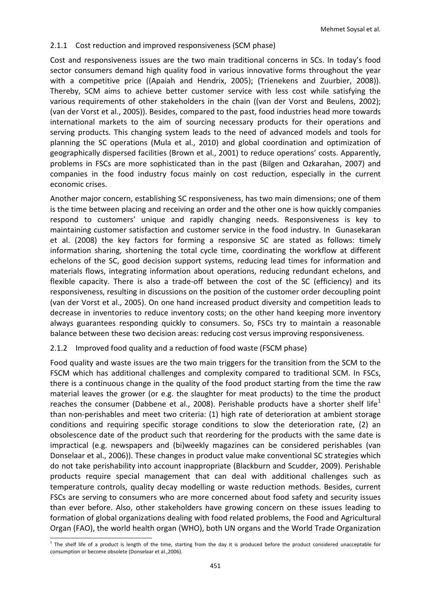# 2.1.1 Cost reduction and improved responsiveness (SCM phase)

Cost and responsiveness issues are the two main traditional concerns in SCs. In today's food sector consumers demand high quality food in various innovative forms throughout the year with a competitive price ([\(Apaiah and Hendrix, 2005\)](#page-12-4); [\(Trienekens and Zuurbier, 2008\)](#page-13-3)). Thereby, SCM aims to achieve better customer service with less cost while satisfying the various requirements of other stakeholders in the chain ([\(van der Vorst and Beulens, 2002\)](#page-13-5); [\(van der Vorst et al., 2005\)](#page-14-0)). Besides, compared to the past, food industries head more towards international markets to the aim of sourcing necessary products for their operations and serving products. This changing system leads to the need of advanced models and tools for planning the SC operations [\(Mula et al., 2010\)](#page-13-6) and global coordination and optimization of geographically dispersed facilities [\(Brown et al., 2001\)](#page-12-5) to reduce operations' costs. Apparently, problems in FSCs are more sophisticated than in the past [\(Bilgen and Ozkarahan, 2007\)](#page-12-6) and companies in the food industry focus mainly on cost reduction, especially in the current economic crises.

Another major concern, establishing SC responsiveness, has two main dimensions; one of them is the time between placing and receiving an order and the other one is how quickly companies respond to customers' unique and rapidly changing needs. Responsiveness is key to maintaining customer satisfaction and customer service in the food industry. In Gunasekaran et al. [\(2008\)](#page-13-7) the key factors for forming a responsive SC are stated as follows: timely information sharing, shortening the total cycle time, coordinating the workflow at different echelons of the SC, good decision support systems, reducing lead times for information and materials flows, integrating information about operations, reducing redundant echelons, and flexible capacity. There is also a trade-off between the cost of the SC (efficiency) and its responsiveness, resulting in discussions on the position of the customer order decoupling point [\(van der Vorst et al., 2005\)](#page-14-0). On one hand increased product diversity and competition leads to decrease in inventories to reduce inventory costs; on the other hand keeping more inventory always guarantees responding quickly to consumers. So, FSCs try to maintain a reasonable balance between these two decision areas: reducing cost versus improving responsiveness.

#### 2.1.2 Improved food quality and a reduction of food waste (FSCM phase)

Food quality and waste issues are the two main triggers for the transition from the SCM to the FSCM which has additional challenges and complexity compared to traditional SCM. In FSCs, there is a continuous change in the quality of the food product starting from the time the raw material leaves the grower (or e.g. the slaughter for meat products) to the time the product reaches the consumer [\(Dabbene et al., 2008\)](#page-12-7). Perishable products have a shorter shelf life<sup>[1](#page-3-0)</sup> than non-perishables and meet two criteria: (1) high rate of deterioration at ambient storage conditions and requiring specific storage conditions to slow the deterioration rate, (2) an obsolescence date of the product such that reordering for the products with the same date is impractical (e.g. newspapers and (bi)weekly magazines can be considered perishables [\(van](#page-14-1)  [Donselaar et al., 2006\)](#page-14-1)). These changes in product value make conventional SC strategies which do not take perishability into account inappropriate [\(Blackburn and Scudder, 2009\)](#page-12-8). Perishable products require special management that can deal with additional challenges such as temperature controls, quality decay modelling or waste reduction methods. Besides, current FSCs are serving to consumers who are more concerned about food safety and security issues than ever before. Also, other stakeholders have growing concern on these issues leading to formation of global organizations dealing with food related problems, the Food and Agricultural Organ (FAO), the world health organ (WHO), both UN organs and the World Trade Organization

<span id="page-3-0"></span><sup>-</sup> $1$  The shelf life of a product is length of the time, starting from the day it is produced before the product considered unacceptable for consumption or become obsolete (Donselaar et al.,2006).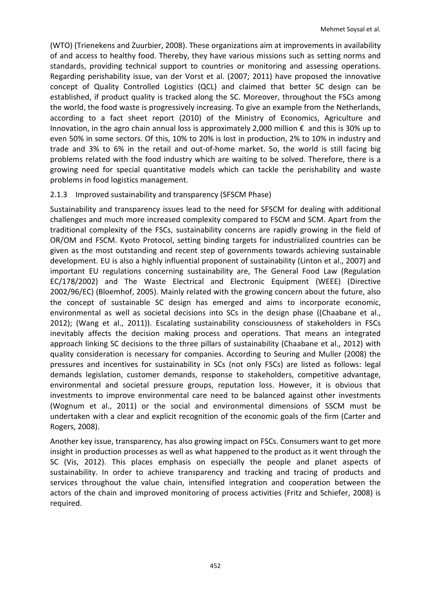(WTO) [\(Trienekens and Zuurbier, 2008\)](#page-13-3). These organizations aim at improvements in availability of and access to healthy food. Thereby, they have various missions such as setting norms and standards, providing technical support to countries or monitoring and assessing operations. Regarding perishability issue, van der Vorst et al. [\(2007;](#page-14-2) [2011\)](#page-14-3) have proposed the innovative concept of Quality Controlled Logistics (QCL) and claimed that better SC design can be established, if product quality is tracked along the SC. Moreover, throughout the FSCs among the world, the food waste is progressively increasing. To give an example from the Netherlands, according to a fact sheet report [\(2010\)](#page-13-8) of the Ministry of Economics, Agriculture and Innovation, in the agro chain annual loss is approximately 2,000 million  $\epsilon$  and this is 30% up to even 50% in some sectors. Of this, 10% to 20% is lost in production, 2% to 10% in industry and trade and 3% to 6% in the retail and out-of-home market. So, the world is still facing big problems related with the food industry which are waiting to be solved. Therefore, there is a growing need for special quantitative models which can tackle the perishability and waste problems in food logistics management.

## 2.1.3 Improved sustainability and transparency (SFSCM Phase)

Sustainability and transparency issues lead to the need for SFSCM for dealing with additional challenges and much more increased complexity compared to FSCM and SCM. Apart from the traditional complexity of the FSCs, sustainability concerns are rapidly growing in the field of OR/OM and FSCM. Kyoto Protocol, setting binding targets for industrialized countries can be given as the most outstanding and recent step of governments towards achieving sustainable development. EU is also a highly influential proponent of sustainability [\(Linton et al., 2007\)](#page-13-0) and important EU regulations concerning sustainability are, The General Food Law (Regulation EC/178/2002) and The Waste Electrical and Electronic Equipment (WEEE) (Directive 2002/96/EC) [\(Bloemhof, 2005\)](#page-12-0). Mainly related with the growing concern about the future, also the concept of sustainable SC design has emerged and aims to incorporate economic, environmental as well as societal decisions into SCs in the design phase ([\(Chaabane et al.,](#page-12-9)  [2012\)](#page-12-9); [\(Wang et al., 2011\)](#page-14-4)). Escalating sustainability consciousness of stakeholders in FSCs inevitably affects the decision making process and operations. That means an integrated approach linking SC decisions to the three pillars of sustainability [\(Chaabane et al., 2012\)](#page-12-9) with quality consideration is necessary for companies. According to Seuring and Muller [\(2008\)](#page-13-9) the pressures and incentives for sustainability in SCs (not only FSCs) are listed as follows: legal demands legislation, customer demands, response to stakeholders, competitive advantage, environmental and societal pressure groups, reputation loss. However, it is obvious that investments to improve environmental care need to be balanced against other investments [\(Wognum et al., 2011\)](#page-14-5) or the social and environmental dimensions of SSCM must be undertaken with a clear and explicit recognition of the economic goals of the firm [\(Carter and](#page-12-10)  [Rogers, 2008\)](#page-12-10).

Another key issue, transparency, has also growing impact on FSCs. Consumers want to get more insight in production processes as well as what happened to the product as it went through the SC [\(Vis, 2012\)](#page-14-6). This places emphasis on especially the people and planet aspects of sustainability. In order to achieve transparency and tracking and tracing of products and services throughout the value chain, intensified integration and cooperation between the actors of the chain and improved monitoring of process activities [\(Fritz and Schiefer, 2008\)](#page-12-11) is required.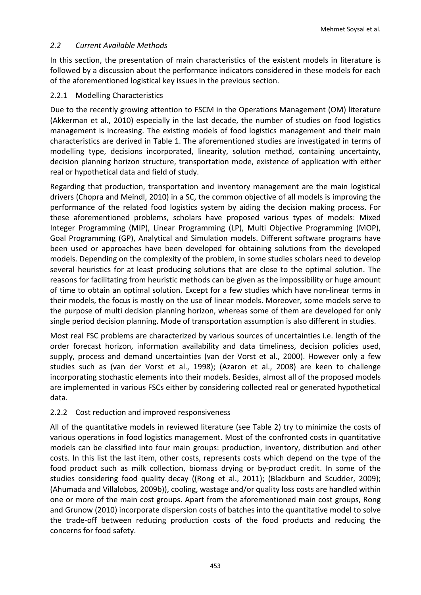# *2.2 Current Available Methods*

In this section, the presentation of main characteristics of the existent models in literature is followed by a discussion about the performance indicators considered in these models for each of the aforementioned logistical key issues in the previous section.

#### 2.2.1 Modelling Characteristics

Due to the recently growing attention to FSCM in the Operations Management (OM) literature [\(Akkerman et al., 2010\)](#page-12-2) especially in the last decade, the number of studies on food logistics management is increasing. The existing models of food logistics management and their main characteristics are derived in Table 1. The aforementioned studies are investigated in terms of modelling type, decisions incorporated, linearity, solution method, containing uncertainty, decision planning horizon structure, transportation mode, existence of application with either real or hypothetical data and field of study.

Regarding that production, transportation and inventory management are the main logistical drivers [\(Chopra and Meindl, 2010\)](#page-12-12) in a SC, the common objective of all models is improving the performance of the related food logistics system by aiding the decision making process. For these aforementioned problems, scholars have proposed various types of models: Mixed Integer Programming (MIP), Linear Programming (LP), Multi Objective Programming (MOP), Goal Programming (GP), Analytical and Simulation models. Different software programs have been used or approaches have been developed for obtaining solutions from the developed models. Depending on the complexity of the problem, in some studies scholars need to develop several heuristics for at least producing solutions that are close to the optimal solution. The reasons for facilitating from heuristic methods can be given as the impossibility or huge amount of time to obtain an optimal solution. Except for a few studies which have non-linear terms in their models, the focus is mostly on the use of linear models. Moreover, some models serve to the purpose of multi decision planning horizon, whereas some of them are developed for only single period decision planning. Mode of transportation assumption is also different in studies.

Most real FSC problems are characterized by various sources of uncertainties i.e. length of the order forecast horizon, information availability and data timeliness, decision policies used, supply, process and demand uncertainties [\(van der Vorst et al., 2000\)](#page-13-10). However only a few studies such as [\(van der Vorst et al., 1998\)](#page-13-11); [\(Azaron et al., 2008\)](#page-12-13) are keen to challenge incorporating stochastic elements into their models. Besides, almost all of the proposed models are implemented in various FSCs either by considering collected real or generated hypothetical data.

# 2.2.2 Cost reduction and improved responsiveness

All of the quantitative models in reviewed literature (see Table 2) try to minimize the costs of various operations in food logistics management. Most of the confronted costs in quantitative models can be classified into four main groups: production, inventory, distribution and other costs. In this list the last item, other costs, represents costs which depend on the type of the food product such as milk collection, biomass drying or by-product credit. In some of the studies considering food quality decay ([\(Rong et al., 2011\)](#page-13-12); [\(Blackburn and Scudder, 2009\)](#page-12-8); [\(Ahumada and Villalobos, 2009b\)](#page-11-1)), cooling, wastage and/or quality loss costs are handled within one or more of the main cost groups. Apart from the aforementioned main cost groups, Rong and Grunow [\(2010\)](#page-13-13) incorporate dispersion costs of batches into the quantitative model to solve the trade-off between reducing production costs of the food products and reducing the concerns for food safety.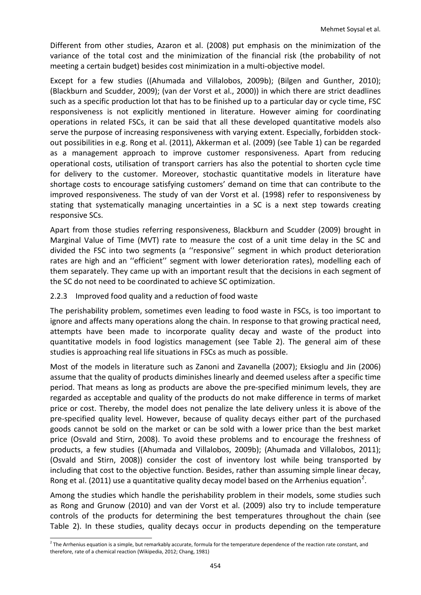Different from other studies, Azaron et al. [\(2008\)](#page-12-13) put emphasis on the minimization of the variance of the total cost and the minimization of the financial risk (the probability of not meeting a certain budget) besides cost minimization in a multi-objective model.

Except for a few studies ([\(Ahumada and Villalobos, 2009b\)](#page-11-1); [\(Bilgen and Gunther, 2010\)](#page-12-14); [\(Blackburn and Scudder, 2009\)](#page-12-8); [\(van der Vorst et al., 2000\)](#page-13-10)) in which there are strict deadlines such as a specific production lot that has to be finished up to a particular day or cycle time, FSC responsiveness is not explicitly mentioned in literature. However aiming for coordinating operations in related FSCs, it can be said that all these developed quantitative models also serve the purpose of increasing responsiveness with varying extent. Especially, forbidden stockout possibilities in e.g. Rong et al. [\(2011\)](#page-13-12), Akkerman et al. [\(2009\)](#page-12-15) (see Table 1) can be regarded as a management approach to improve customer responsiveness. Apart from reducing operational costs, utilisation of transport carriers has also the potential to shorten cycle time for delivery to the customer. Moreover, stochastic quantitative models in literature have shortage costs to encourage satisfying customers' demand on time that can contribute to the improved responsiveness. The study of van der Vorst et al. [\(1998\)](#page-13-11) refer to responsiveness by stating that systematically managing uncertainties in a SC is a next step towards creating responsive SCs.

Apart from those studies referring responsiveness, Blackburn and Scudder [\(2009\)](#page-12-8) brought in Marginal Value of Time (MVT) rate to measure the cost of a unit time delay in the SC and divided the FSC into two segments (a ''responsive'' segment in which product deterioration rates are high and an ''efficient'' segment with lower deterioration rates), modelling each of them separately. They came up with an important result that the decisions in each segment of the SC do not need to be coordinated to achieve SC optimization.

## 2.2.3 Improved food quality and a reduction of food waste

The perishability problem, sometimes even leading to food waste in FSCs, is too important to ignore and affects many operations along the chain. In response to that growing practical need, attempts have been made to incorporate quality decay and waste of the product into quantitative models in food logistics management (see Table 2). The general aim of these studies is approaching real life situations in FSCs as much as possible.

Most of the models in literature such as Zanoni and Zavanella [\(2007\)](#page-14-7); Eksioglu and Jin [\(2006\)](#page-12-16) assume that the quality of products diminishes linearly and deemed useless after a specific time period. That means as long as products are above the pre-specified minimum levels, they are regarded as acceptable and quality of the products do not make difference in terms of market price or cost. Thereby, the model does not penalize the late delivery unless it is above of the pre-specified quality level. However, because of quality decays either part of the purchased goods cannot be sold on the market or can be sold with a lower price than the best market price [\(Osvald and Stirn,](#page-13-14) 2008). To avoid these problems and to encourage the freshness of products, a few studies ([\(Ahumada and Villalobos, 2009b\)](#page-11-1); [\(Ahumada and Villalobos, 2011\)](#page-12-3); [\(Osvald and Stirn, 2008\)](#page-13-14)) consider the cost of inventory lost while being transported by including that cost to the objective function. Besides, rather than assuming simple linear decay, Rong et al. [\(2011\)](#page-13-12) use a quantitative quality decay model based on the Arrhenius equation<sup>[2](#page-6-0)</sup>.

Among the studies which handle the perishability problem in their models, some studies such as Rong and Grunow [\(2010\)](#page-13-13) and van der Vorst et al. [\(2009\)](#page-14-8) also try to include temperature controls of the products for determining the best temperatures throughout the chain (see Table 2). In these studies, quality decays occur in products depending on the temperature

<span id="page-6-0"></span><sup>-</sup> $^2$  The Arrhenius equation is a simple, but remarkably accurate, formula for the temperature dependence of the [reaction rate constant,](http://en.wikipedia.org/wiki/Reaction_rate_constant) and therefore, rate of a chemical reaction (Wikipedia, 2012; Chang, 1981)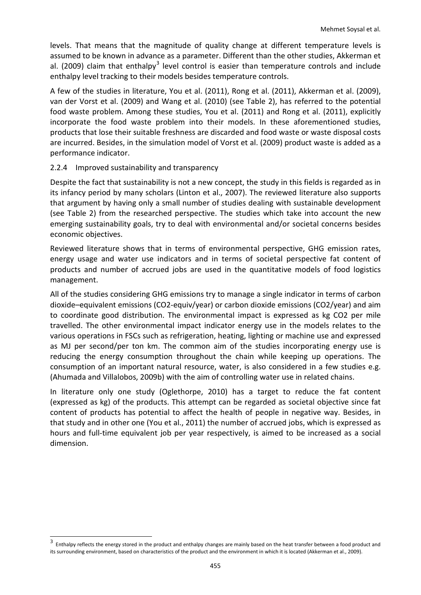levels. That means that the magnitude of quality change at different temperature levels is assumed to be known in advance as a parameter. Different than the other studies, Akkerman et al. [\(2009\)](#page-12-15) claim that enthalpy<sup>[3](#page-7-0)</sup> level control is easier than temperature controls and include enthalpy level tracking to their models besides temperature controls.

A few of the studies in literature, You et al. [\(2011\)](#page-14-9), Rong et al. [\(2011\)](#page-13-12), Akkerman et al. [\(2009\)](#page-12-15), van der Vorst et al. [\(2009\)](#page-14-8) and Wang et al. [\(2010\)](#page-14-10) (see Table 2), has referred to the potential food waste problem. Among these studies, You et al. [\(2011\)](#page-14-9) and Rong et al. [\(2011\)](#page-13-12), explicitly incorporate the food waste problem into their models. In these aforementioned studies, products that lose their suitable freshness are discarded and food waste or waste disposal costs are incurred. Besides, in the simulation model of Vorst et al. [\(2009\)](#page-14-8) product waste is added as a performance indicator.

## 2.2.4 Improved sustainability and transparency

Despite the fact that sustainability is not a new concept, the study in this fields is regarded as in its infancy period by many scholars [\(Linton et al., 2007\)](#page-13-0). The reviewed literature also supports that argument by having only a small number of studies dealing with sustainable development (see Table 2) from the researched perspective. The studies which take into account the new emerging sustainability goals, try to deal with environmental and/or societal concerns besides economic objectives.

Reviewed literature shows that in terms of environmental perspective, GHG emission rates, energy usage and water use indicators and in terms of societal perspective fat content of products and number of accrued jobs are used in the quantitative models of food logistics management.

All of the studies considering GHG emissions try to manage a single indicator in terms of carbon dioxide–equivalent emissions (CO2-equiv/year) or carbon dioxide emissions (CO2/year) and aim to coordinate good distribution. The environmental impact is expressed as kg CO2 per mile travelled. The other environmental impact indicator energy use in the models relates to the various operations in FSCs such as refrigeration, heating, lighting or machine use and expressed as MJ per second/per ton km. The common aim of the studies incorporating energy use is reducing the energy consumption throughout the chain while keeping up operations. The consumption of an important natural resource, water, is also considered in a few studies e.g. [\(Ahumada and Villalobos, 2009b\)](#page-11-1) with the aim of controlling water use in related chains.

In literature only one study [\(Oglethorpe, 2010\)](#page-13-15) has a target to reduce the fat content (expressed as kg) of the products. This attempt can be regarded as societal objective since fat content of products has potential to affect the health of people in negative way. Besides, in that study and in other one [\(You et al., 2011\)](#page-14-9) the number of accrued jobs, which is expressed as hours and full-time equivalent job per year respectively, is aimed to be increased as a social dimension.

<span id="page-7-0"></span><sup>3</sup> <sup>3</sup> Enthalpy reflects the energy stored in the product and enthalpy changes are mainly based on the heat transfer between a food product and its surrounding environment, based on characteristics of the product and the environment in which it is located (Akkerman et al., 2009).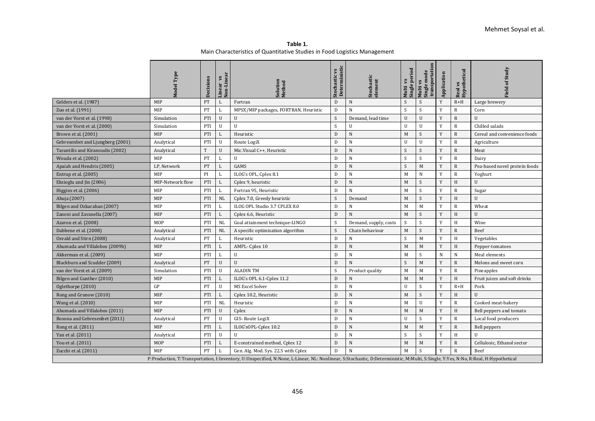**Table 1.** Main Characteristics of Quantitative Studies in Food Logistics Management

|                                  | lodel            | Decisions | Non-Linear<br>inear vs | Method                                                                                                                                                                             | Deterministic<br>Stochastic vs | Stochastic<br>element | Single period<br>vs<br>Multi | $\mathbf{m}$<br>transportati<br>Single mode<br>Multi vs | Application    | Real vs<br>Hypothetical | of Study<br>eld               |  |  |
|----------------------------------|------------------|-----------|------------------------|------------------------------------------------------------------------------------------------------------------------------------------------------------------------------------|--------------------------------|-----------------------|------------------------------|---------------------------------------------------------|----------------|-------------------------|-------------------------------|--|--|
| Gelders et al. (1987)            | MIP              | PT        | L                      | Fortran                                                                                                                                                                            | D                              | $\mathbf N$           | S                            | S                                                       | Y              | $R+H$                   | Large brewery                 |  |  |
| Zuo et al. (1991)                | MIP              | PT        |                        | MPSX/MIP packages, FORTRAN, Heuristic                                                                                                                                              | D                              | N                     | S                            | S                                                       | Y              | $\mathbb{R}$            | Corn                          |  |  |
| van der Vorst et al. (1998)      | Simulation       | PTI       | U                      | U                                                                                                                                                                                  | S                              | Demand, lead time     | U                            | $\mathbf U$                                             | Y              | $\mathbb{R}$            | U                             |  |  |
| van der Vorst et al. (2000)      | Simulation       | PTI       | U                      | $\mathbf{U}$                                                                                                                                                                       | S                              | U                     | U                            | $\mathbb{R}$                                            | Chilled salads |                         |                               |  |  |
| Brown et al. (2001)              | <b>MIP</b>       | PTI       | L                      | Heuristic                                                                                                                                                                          | D                              | N                     | M                            | <sub>S</sub>                                            | Y              | $\mathbb{R}$            | Cereal and convenience foods  |  |  |
| Gebresenbet and Ljungberg (2001) | Analytical       | PTI       | U                      | Route LogiX                                                                                                                                                                        | D                              | N                     | U                            | U                                                       | Y              | $\mathbb{R}$            | Agriculture                   |  |  |
| Tarantilis and Kiranoudis (2002) | Analytical       | T         | $\mathbf{U}$           | Mic.Visual C++, Heuristic                                                                                                                                                          | D                              | $\mathbf N$           | S                            | S                                                       | Y              | $\mathbb{R}$            | Meat                          |  |  |
| Wouda et al. (2002)              | MIP              | PT        | L                      | $\mathbf{U}$                                                                                                                                                                       | D                              | N                     | S                            | S                                                       | Y              | $\mathbb{R}$            | Dairy                         |  |  |
| Apaiah and Hendrix (2005)        | LP, Network      | PT        | L                      | GAMS                                                                                                                                                                               | D                              | $\mathbf N$           | S                            | M                                                       | Y              | $\mathbb{R}$            | Pea-based novel protein foods |  |  |
| Entrup et al. $(2005)$           | MIP              | PI        |                        | ILOG's OPL, Cplex 8.1                                                                                                                                                              | D                              | N                     | M                            | $\mathbf N$                                             | Y              | $\mathbb{R}$            | Yoghurt                       |  |  |
| Eksioglu and Jin (2006)          | MIP-Network flow | PTI       | L                      | Cplex 9, heuristic                                                                                                                                                                 | D                              | $\mathbf N$           | M                            | S                                                       | Y              | H                       | U                             |  |  |
| Higgins et al. (2006)            | MIP              | PTI       |                        | Fortran 95, Heuristic                                                                                                                                                              | D                              | N                     | M                            | <sub>S</sub>                                            | Y              | $\mathbb{R}$            | Sugar                         |  |  |
| Ahuja (2007)                     | MIP              | PTI       | NL                     | Cplex 7.0, Greedy heuristic                                                                                                                                                        | S                              | Demand                | M                            | S                                                       | Y              | H                       | $\mathbf{U}$                  |  |  |
| Bilgen and Ozkarahan (2007)      | MIP              | PTI       | L                      | ILOG OPL Studio 3.7 CPLEX 8.0                                                                                                                                                      | D                              | N                     | M                            | M                                                       | Y              | $\mathbb{R}$            | Wheat                         |  |  |
| Zanoni and Zavanella (2007)      | MIP              | PTI       | L                      | Cplex 6.6, Heuristic                                                                                                                                                               | $\mathbf{D}$                   | N                     | M                            | S                                                       | Y              | H                       | U                             |  |  |
| Azaron et al. (2008)             | <b>MOP</b>       | PTI       | NL                     | Goal attainment technique-LINGO                                                                                                                                                    | S                              | Demand, supply, costs | S.                           | <sub>S</sub>                                            | Y              | H                       | Wine                          |  |  |
| Dabbene et al. (2008)            | Analytical       | PTI       | NL                     | A specific optimisation algorithm                                                                                                                                                  | S                              | Chain behaviour       | $\mathbf M$                  | S                                                       | Y              | $\mathbb{R}$            | Beef                          |  |  |
| Osvald and Stirn (2008)          | Analytical       | PT        | L                      | Heuristic                                                                                                                                                                          | D                              | N                     | S.                           | M                                                       | Y              | H                       | Vegetables                    |  |  |
| Ahumada and Villalobos (2009b)   | MIP              | PTI       | L                      | AMPL-Cplex 10                                                                                                                                                                      | D                              | $\mathbf N$           | M                            | M                                                       | Y              | H                       | Pepper-tomatoes               |  |  |
| Akkerman et al. (2009)           | MIP              | PTI       | L                      | U                                                                                                                                                                                  | D                              | $\mathbf N$           | M                            | <sub>S</sub>                                            | $\mathbf N$    | $\mathbf N$             | Meal elements                 |  |  |
| Blackburn and Scudder (2009)     | Analytical       | PT        | U                      | $\mathbf{U}$                                                                                                                                                                       | $\mathbf{D}$                   | N                     | S                            | M                                                       | Y              | $\mathbb{R}$            | Melons and sweet corn         |  |  |
| van der Vorst et al. (2009)      | Simulation       | PTI       | U                      | <b>ALADIN TM</b>                                                                                                                                                                   | S                              | Product quality       | M                            | M                                                       | Y              | $\mathbb{R}$            | Pineapples                    |  |  |
| Bilgen and Gunther (2010)        | MIP              | PTI       | L                      | ILOG's OPL 6.1-Cplex 11.2                                                                                                                                                          | D                              | N                     | M                            | M                                                       | Y              | H                       | Fruit juices and soft drinks  |  |  |
| Oglethorpe (2010)                | GP               | PT        | U                      | MS Excel Solver                                                                                                                                                                    | D                              | $\mathbf N$           | U                            | S                                                       | Y              | $R+H$                   | Pork                          |  |  |
| Rong and Grunow (2010)           | MIP              | PTI       |                        | Cplex 10.2, Heuristic                                                                                                                                                              | D                              | $\mathbf N$           | M                            | S                                                       | Y              | H                       | U                             |  |  |
| Wang et al. (2010)               | MIP              | PTI       | NL                     | Heuristic                                                                                                                                                                          | D                              | N                     | M                            | $\mathbf{U}$                                            | Y              | $\overline{R}$          | Cooked meat-bakery            |  |  |
| Ahumada and Villalobos (2011)    | MIP              | PTI       | U                      | Cplex                                                                                                                                                                              | D                              | $\mathbf N$           | M                            | M                                                       | Y              | H                       | Bell peppers and tomato       |  |  |
| Bosona and Gebresenbet (2011)    | Analytical       | PT        | $\mathbf{U}$           | GIS-Route LogiX                                                                                                                                                                    | D                              | $\mathbf N$           | U                            | S                                                       | Y              | $\mathbf R$             | Local food producers          |  |  |
| Rong et al. (2011)               | MIP              | PTI       | L                      | ILOG'sOPL-Cplex 10.2                                                                                                                                                               | $\mathbf{D}$                   | N                     | M                            | M                                                       | Y              | $\overline{R}$          | Bell peppers                  |  |  |
| Yan et al. (2011)                | Analytical       | PTI       | U                      | $\mathbf{U}$                                                                                                                                                                       | D                              | N                     | S                            | S                                                       | Y              | H                       | $\mathbf{U}$                  |  |  |
| You et al. (2011)                | <b>MOP</b>       | PTI       | L                      | E-constrained method, Cplex 12                                                                                                                                                     | $\mathbf{D}$                   | $\mathbf N$           | M                            | M                                                       | Y              | $\mathbb{R}$            | Cellulosic, Ethanol sector    |  |  |
| Zucchi et al. (2011)             | MIP              | PT        |                        | Gen. Alg. Mod. Sys. 22.5 with Cplex                                                                                                                                                | D                              | N                     | M                            | S                                                       | Y              | $\mathbb{R}$            | Beef                          |  |  |
|                                  |                  |           |                        | P:Production, T:Transportation, I:Inventory, U:Unspecified, N:None, L:Linear, NL: Nonlinear, S:Stochastic, D:Deterministic, M:Multi, S:Single, Y:Yes, N:No, R:Real, H:Hypothetical |                                |                       |                              |                                                         |                |                         |                               |  |  |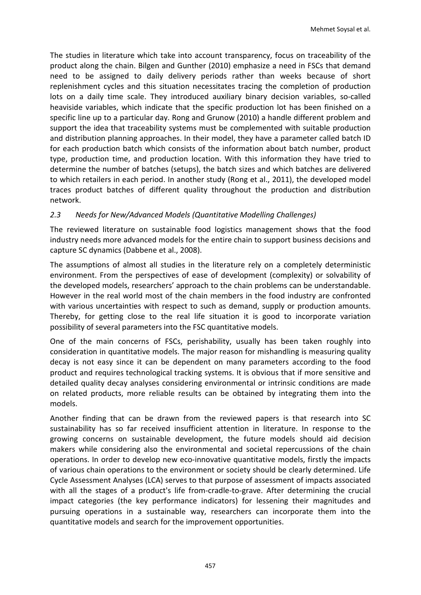The studies in literature which take into account transparency, focus on traceability of the product along the chain. Bilgen and Gunther [\(2010\)](#page-12-14) emphasize a need in FSCs that demand need to be assigned to daily delivery periods rather than weeks because of short replenishment cycles and this situation necessitates tracing the completion of production lots on a daily time scale. They introduced auxiliary binary decision variables, so-called heaviside variables, which indicate that the specific production lot has been finished on a specific line up to a particular day. Rong and Grunow [\(2010\)](#page-13-13) a handle different problem and support the idea that traceability systems must be complemented with suitable production and distribution planning approaches. In their model, they have a parameter called batch ID for each production batch which consists of the information about batch number, product type, production time, and production location. With this information they have tried to determine the number of batches (setups), the batch sizes and which batches are delivered to which retailers in each period. In another study [\(Rong et al., 2011\)](#page-13-12), the developed model traces product batches of different quality throughout the production and distribution network.

# *2.3 Needs for New/Advanced Models (Quantitative Modelling Challenges)*

The reviewed literature on sustainable food logistics management shows that the food industry needs more advanced models for the entire chain to support business decisions and capture SC dynamics [\(Dabbene et al., 2008\)](#page-12-7).

The assumptions of almost all studies in the literature rely on a completely deterministic environment. From the perspectives of ease of development (complexity) or solvability of the developed models, researchers' approach to the chain problems can be understandable. However in the real world most of the chain members in the food industry are confronted with various uncertainties with respect to such as demand, supply or production amounts. Thereby, for getting close to the real life situation it is good to incorporate variation possibility of several parameters into the FSC quantitative models.

One of the main concerns of FSCs, perishability, usually has been taken roughly into consideration in quantitative models. The major reason for mishandling is measuring quality decay is not easy since it can be dependent on many parameters according to the food product and requires technological tracking systems. It is obvious that if more sensitive and detailed quality decay analyses considering environmental or intrinsic conditions are made on related products, more reliable results can be obtained by integrating them into the models.

Another finding that can be drawn from the reviewed papers is that research into SC sustainability has so far received insufficient attention in literature. In response to the growing concerns on sustainable development, the future models should aid decision makers while considering also the environmental and societal repercussions of the chain operations. In order to develop new eco-innovative quantitative models, firstly the impacts of various chain operations to the environment or society should be clearly determined. Life Cycle Assessment Analyses (LCA) serves to that purpose of assessment of impacts associated with all the stages of a product's life from-cradle-to-grave. After determining the crucial impact categories (the key performance indicators) for lessening their magnitudes and pursuing operations in a sustainable way, researchers can incorporate them into the quantitative models and search for the improvement opportunities.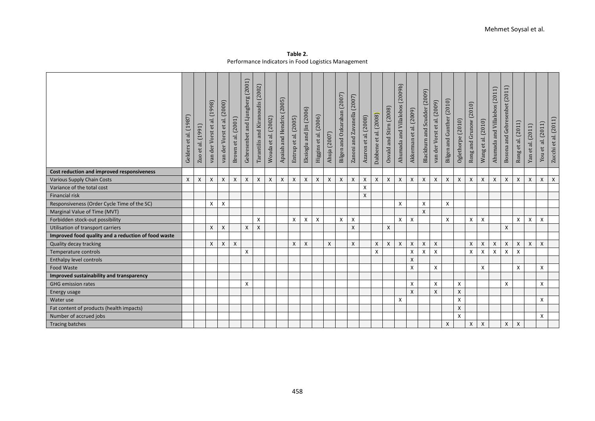|                                                     | (1987)<br>et al.<br>Gelders | al. (1991)<br>$\mathsf{et}$<br>Zuo | (1998)<br>et al.<br>der Vorst<br>van | (2000)<br>ನ.<br>$\mathsf{et}$<br>der Vorst<br>van | al. (2001)<br>$\mathsf{et}$<br>Brown | and Ljungberg (2001)<br>Gebresenbet | Tarantilis and Kiranoudis (2002) | al. (2002)<br>$\mathop{\rm et}\nolimits$<br>Wouda | (2005)<br>Apaiah and Hendrix | Entrup et al. (2005) | Eksioglu and Jin (2006) | Higgins et al. (2006) | (2007)<br>Ahuja | (2007)<br>Ozkarahan<br>Bilgen and | (2007)<br>and Zavanella<br>Zanoni a | et al. (2008)<br>Azaron | et al. (2008)<br>Dabbene | Osvald and Stirn (2008) | (2009b)<br>and Villalobos<br>Ahumada | Akkerman et al. (2009)    | (2009)<br>Blackburn and Scudder | der Vorst et al. (2009)<br>van | Bilgen and Gunther (2010) | Oglethorpe (2010) | (2010)<br>Rong and Grunow | al. (2010)<br>$\mathsf{e}\mathsf{t}$<br>Wang | Ahumada and Villalobos (2011) | Bosona and Gebresenbet (2011) | al. (2011)<br>et<br>Rong | al. (2011)<br>$\mathbf{e}$<br>${\tt Yan}$ | (2011)<br>ನ.<br>You et | Zucchi et al. (2011) |
|-----------------------------------------------------|-----------------------------|------------------------------------|--------------------------------------|---------------------------------------------------|--------------------------------------|-------------------------------------|----------------------------------|---------------------------------------------------|------------------------------|----------------------|-------------------------|-----------------------|-----------------|-----------------------------------|-------------------------------------|-------------------------|--------------------------|-------------------------|--------------------------------------|---------------------------|---------------------------------|--------------------------------|---------------------------|-------------------|---------------------------|----------------------------------------------|-------------------------------|-------------------------------|--------------------------|-------------------------------------------|------------------------|----------------------|
| Cost reduction and improved responsiveness          |                             |                                    |                                      |                                                   |                                      |                                     |                                  |                                                   |                              |                      |                         |                       |                 |                                   |                                     |                         |                          |                         |                                      |                           |                                 |                                |                           |                   |                           |                                              |                               |                               |                          |                                           |                        |                      |
| <b>Various Supply Chain Costs</b>                   | X                           | $\boldsymbol{\mathsf{X}}$          | X                                    | $\boldsymbol{\mathsf{X}}$                         | $\boldsymbol{X}$                     | X                                   | X                                | X                                                 | X                            | X                    | X                       | X                     | X               | $\boldsymbol{\mathsf{X}}$         | $\boldsymbol{\mathsf{x}}$           | X                       | X                        | X                       | X                                    | $\boldsymbol{\mathsf{X}}$ | X                               | $\boldsymbol{\mathsf{x}}$      | $\boldsymbol{\mathsf{X}}$ | X                 | X                         | $\boldsymbol{X}$                             | X                             | X                             | X                        | X                                         | X                      | X                    |
| Variance of the total cost                          |                             |                                    |                                      |                                                   |                                      |                                     |                                  |                                                   |                              |                      |                         |                       |                 |                                   |                                     | X                       |                          |                         |                                      |                           |                                 |                                |                           |                   |                           |                                              |                               |                               |                          |                                           |                        |                      |
| <b>Financial risk</b>                               |                             |                                    |                                      |                                                   |                                      |                                     |                                  |                                                   |                              |                      |                         |                       |                 |                                   |                                     | $\mathsf{x}$            |                          |                         |                                      |                           |                                 |                                |                           |                   |                           |                                              |                               |                               |                          |                                           |                        |                      |
| Responsiveness (Order Cycle Time of the SC)         |                             |                                    | X                                    | X                                                 |                                      |                                     |                                  |                                                   |                              |                      |                         |                       |                 |                                   |                                     |                         |                          |                         | X                                    |                           | X                               |                                | $\boldsymbol{\mathsf{X}}$ |                   |                           |                                              |                               |                               |                          |                                           |                        |                      |
| Marginal Value of Time (MVT)                        |                             |                                    |                                      |                                                   |                                      |                                     |                                  |                                                   |                              |                      |                         |                       |                 |                                   |                                     |                         |                          |                         |                                      |                           | $\mathsf{x}$                    |                                |                           |                   |                           |                                              |                               |                               |                          |                                           |                        |                      |
| Forbidden stock-out possibility                     |                             |                                    |                                      |                                                   |                                      |                                     | X                                |                                                   |                              | X                    | X                       | X                     |                 | X                                 | X                                   |                         |                          |                         | X                                    | X                         |                                 |                                | Χ                         |                   | Χ                         | X                                            |                               |                               | X                        | X                                         | $\mathsf{x}$           |                      |
| Utilisation of transport carriers                   |                             |                                    | Χ                                    | $\boldsymbol{\mathsf{X}}$                         |                                      | X                                   | X                                |                                                   |                              |                      |                         |                       |                 |                                   | $\boldsymbol{\mathsf{x}}$           |                         |                          | X                       |                                      |                           |                                 |                                |                           |                   |                           |                                              |                               | Χ                             |                          |                                           |                        |                      |
| Improved food quality and a reduction of food waste |                             |                                    |                                      |                                                   |                                      |                                     |                                  |                                                   |                              |                      |                         |                       |                 |                                   |                                     |                         |                          |                         |                                      |                           |                                 |                                |                           |                   |                           |                                              |                               |                               |                          |                                           |                        |                      |
| Quality decay tracking                              |                             |                                    | X                                    | $\boldsymbol{\mathsf{X}}$                         | $\mathsf{X}$                         |                                     |                                  |                                                   |                              | X                    | X                       |                       | $\mathsf{X}$    |                                   | $\pmb{\times}$                      |                         | X                        | X                       | X                                    | $\boldsymbol{\mathsf{X}}$ | X                               | $\mathsf{X}$                   |                           |                   | X                         | X                                            | X                             | X                             | X                        | $\mathsf{x}$                              | $\mathsf{X}$           |                      |
| Temperature controls                                |                             |                                    |                                      |                                                   |                                      | X                                   |                                  |                                                   |                              |                      |                         |                       |                 |                                   |                                     |                         | X                        |                         |                                      | X                         | X                               | X                              |                           |                   | Χ                         | X                                            | X                             | X                             | X                        |                                           |                        |                      |
| Enthalpy level controls                             |                             |                                    |                                      |                                                   |                                      |                                     |                                  |                                                   |                              |                      |                         |                       |                 |                                   |                                     |                         |                          |                         |                                      | Χ                         |                                 |                                |                           |                   |                           |                                              |                               |                               |                          |                                           |                        |                      |
| Food Waste                                          |                             |                                    |                                      |                                                   |                                      |                                     |                                  |                                                   |                              |                      |                         |                       |                 |                                   |                                     |                         |                          |                         |                                      | Χ                         |                                 | X                              |                           |                   |                           | X                                            |                               |                               | X                        |                                           | X                      |                      |
| Improved sustainability and transparency            |                             |                                    |                                      |                                                   |                                      |                                     |                                  |                                                   |                              |                      |                         |                       |                 |                                   |                                     |                         |                          |                         |                                      |                           |                                 |                                |                           |                   |                           |                                              |                               |                               |                          |                                           |                        |                      |
| <b>GHG</b> emission rates                           |                             |                                    |                                      |                                                   |                                      | X                                   |                                  |                                                   |                              |                      |                         |                       |                 |                                   |                                     |                         |                          |                         |                                      | Χ                         |                                 | X                              |                           | X                 |                           |                                              |                               | X                             |                          |                                           | X                      |                      |
| Energy usage                                        |                             |                                    |                                      |                                                   |                                      |                                     |                                  |                                                   |                              |                      |                         |                       |                 |                                   |                                     |                         |                          |                         |                                      | Χ                         |                                 | X                              |                           | X                 |                           |                                              |                               |                               |                          |                                           |                        |                      |
| Water use                                           |                             |                                    |                                      |                                                   |                                      |                                     |                                  |                                                   |                              |                      |                         |                       |                 |                                   |                                     |                         |                          |                         | X                                    |                           |                                 |                                |                           | X                 |                           |                                              |                               |                               |                          |                                           | X                      |                      |
| Fat content of products (health impacts)            |                             |                                    |                                      |                                                   |                                      |                                     |                                  |                                                   |                              |                      |                         |                       |                 |                                   |                                     |                         |                          |                         |                                      |                           |                                 |                                |                           | $\boldsymbol{X}$  |                           |                                              |                               |                               |                          |                                           |                        |                      |
| Number of accrued jobs                              |                             |                                    |                                      |                                                   |                                      |                                     |                                  |                                                   |                              |                      |                         |                       |                 |                                   |                                     |                         |                          |                         |                                      |                           |                                 |                                |                           | $\mathsf{x}$      |                           |                                              |                               |                               |                          |                                           | X                      |                      |
| <b>Tracing batches</b>                              |                             |                                    |                                      |                                                   |                                      |                                     |                                  |                                                   |                              |                      |                         |                       |                 |                                   |                                     |                         |                          |                         |                                      |                           |                                 |                                | $\mathsf{X}$              |                   | X                         | $\mathsf{x}$                                 |                               | X                             | X                        |                                           |                        |                      |

**Table 2.** Performance Indicators in Food Logistics Management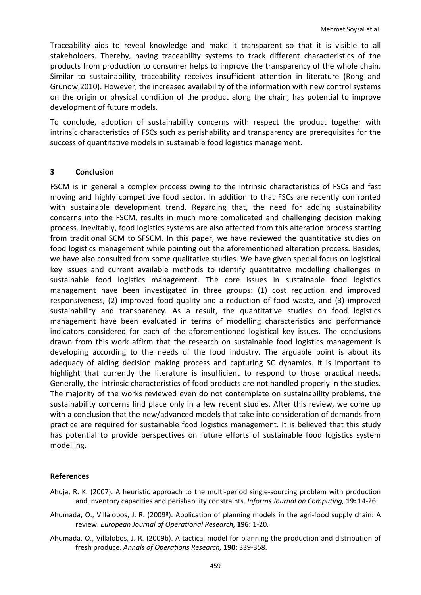Traceability aids to reveal knowledge and make it transparent so that it is visible to all stakeholders. Thereby, having traceability systems to track different characteristics of the products from production to consumer helps to improve the transparency of the whole chain. Similar to sustainability, traceability receives insufficient attention in literature (Rong and Grunow,2010). However, the increased availability of the information with new control systems on the origin or physical condition of the product along the chain, has potential to improve development of future models.

To conclude, adoption of sustainability concerns with respect the product together with intrinsic characteristics of FSCs such as perishability and transparency are prerequisites for the success of quantitative models in sustainable food logistics management.

#### **3 Conclusion**

<span id="page-11-2"></span>FSCM is in general a complex process owing to the intrinsic characteristics of FSCs and fast moving and highly competitive food sector. In addition to that FSCs are recently confronted with sustainable development trend. Regarding that, the need for adding sustainability concerns into the FSCM, results in much more complicated and challenging decision making process. Inevitably, food logistics systems are also affected from this alteration process starting from traditional SCM to SFSCM. In this paper, we have reviewed the quantitative studies on food logistics management while pointing out the aforementioned alteration process. Besides, we have also consulted from some qualitative studies. We have given special focus on logistical key issues and current available methods to identify quantitative modelling challenges in sustainable food logistics management. The core issues in sustainable food logistics management have been investigated in three groups: (1) cost reduction and improved responsiveness, (2) improved food quality and a reduction of food waste, and (3) improved sustainability and transparency. As a result, the quantitative studies on food logistics management have been evaluated in terms of modelling characteristics and performance indicators considered for each of the aforementioned logistical key issues. The conclusions drawn from this work affirm that the research on sustainable food logistics management is developing according to the needs of the food industry. The arguable point is about its adequacy of aiding decision making process and capturing SC dynamics. It is important to highlight that currently the literature is insufficient to respond to those practical needs. Generally, the intrinsic characteristics of food products are not handled properly in the studies. The majority of the works reviewed even do not contemplate on sustainability problems, the sustainability concerns find place only in a few recent studies. After this review, we come up with a conclusion that the new/advanced models that take into consideration of demands from practice are required for sustainable food logistics management. It is believed that this study has potential to provide perspectives on future efforts of sustainable food logistics system modelling.

#### <span id="page-11-3"></span>**References**

- Ahuja, R. K. (2007). A heuristic approach to the multi-period single-sourcing problem with production and inventory capacities and perishability constraints. *Informs Journal on Computing,* **19:** 14-26.
- <span id="page-11-0"></span>Ahumada, O., Villalobos, J. R. (2009ª). Application of planning models in the agri-food supply chain: A review. *European Journal of Operational Research,* **196:** 1-20.
- <span id="page-11-1"></span>Ahumada, O., Villalobos, J. R. (2009b). A tactical model for planning the production and distribution of fresh produce. *Annals of Operations Research,* **190:** 339-358.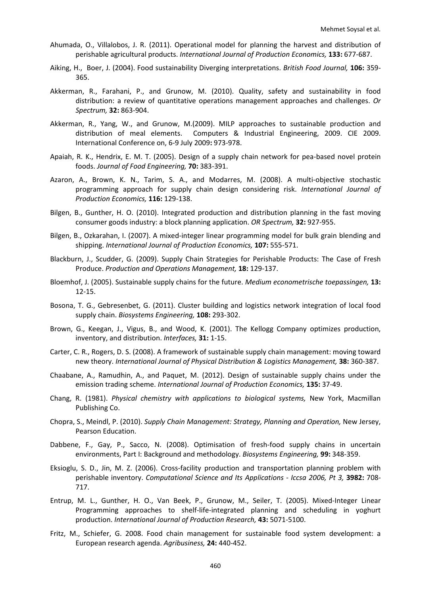- <span id="page-12-27"></span><span id="page-12-26"></span><span id="page-12-24"></span><span id="page-12-22"></span><span id="page-12-18"></span><span id="page-12-3"></span>Ahumada, O., Villalobos, J. R. (2011). Operational model for planning the harvest and distribution of perishable agricultural products. *International Journal of Production Economics,* **133:** 677-687.
- <span id="page-12-21"></span><span id="page-12-1"></span>Aiking, H., Boer, J. (2004). Food sustainability Diverging interpretations. *British Food Journal,* **106:** 359- 365.
- <span id="page-12-25"></span><span id="page-12-2"></span>Akkerman, R., Farahani, P., and Grunow, M. (2010). Quality, safety and sustainability in food distribution: a review of quantitative operations management approaches and challenges. *Or Spectrum,* **32:** 863-904.
- <span id="page-12-28"></span><span id="page-12-15"></span>Akkerman, R., Yang, W., and Grunow, M.(2009). MILP approaches to sustainable production and distribution of meal elements. Computers & Industrial Engineering, 2009. CIE 2009. International Conference on, 6-9 July 2009**:** 973-978.
- <span id="page-12-17"></span><span id="page-12-4"></span>Apaiah, R. K., Hendrix, E. M. T. (2005). Design of a supply chain network for pea-based novel protein foods. *Journal of Food Engineering,* **70:** 383-391.
- <span id="page-12-13"></span>Azaron, A., Brown, K. N., Tarim, S. A., and Modarres, M. (2008). A multi-objective stochastic programming approach for supply chain design considering risk. *International Journal of Production Economics,* **116:** 129-138.
- <span id="page-12-14"></span>Bilgen, B., Gunther, H. O. (2010). Integrated production and distribution planning in the fast moving consumer goods industry: a block planning application. *OR Spectrum,* **32:** 927-955.
- <span id="page-12-6"></span>Bilgen, B., Ozkarahan, I. (2007). A mixed-integer linear programming model for bulk grain blending and shipping. *International Journal of Production Economics,* **107:** 555-571.
- <span id="page-12-23"></span><span id="page-12-8"></span>Blackburn, J., Scudder, G. (2009). Supply Chain Strategies for Perishable Products: The Case of Fresh Produce. *Production and Operations Management,* **18:** 129-137.
- <span id="page-12-20"></span><span id="page-12-0"></span>Bloemhof, J. (2005). Sustainable supply chains for the future. *Medium econometrische toepassingen,* **13:** 12-15.
- Bosona, T. G., Gebresenbet, G. (2011). Cluster building and logistics network integration of local food supply chain. *Biosystems Engineering,* **108:** 293-302.
- <span id="page-12-19"></span><span id="page-12-5"></span>Brown, G., Keegan, J., Vigus, B., and Wood, K. (2001). The Kellogg Company optimizes production, inventory, and distribution. *Interfaces,* **31:** 1-15.
- <span id="page-12-10"></span>Carter, C. R., Rogers, D. S. (2008). A framework of sustainable supply chain management: moving toward new theory. *International Journal of Physical Distribution & Logistics Management,* **38:** 360-387.
- <span id="page-12-9"></span>Chaabane, A., Ramudhin, A., and Paquet, M. (2012). Design of sustainable supply chains under the emission trading scheme. *International Journal of Production Economics,* **135:** 37-49.
- Chang, R. (1981). *Physical chemistry with applications to biological systems,* New York, Macmillan Publishing Co.
- <span id="page-12-12"></span>Chopra, S., Meindl, P. (2010). *Supply Chain Management: Strategy, Planning and Operation,* New Jersey, Pearson Education.
- <span id="page-12-7"></span>Dabbene, F., Gay, P., Sacco, N. (2008). Optimisation of fresh-food supply chains in uncertain environments, Part I: Background and methodology. *Biosystems Engineering,* **99:** 348-359.
- <span id="page-12-16"></span>Eksioglu, S. D., Jin, M. Z. (2006). Cross-facility production and transportation planning problem with perishable inventory. *Computational Science and Its Applications - Iccsa 2006, Pt 3,* **3982:** 708- 717.
- Entrup, M. L., Gunther, H. O., Van Beek, P., Grunow, M., Seiler, T. (2005). Mixed-Integer Linear Programming approaches to shelf-life-integrated planning and scheduling in yoghurt production. *International Journal of Production Research,* **43:** 5071-5100.
- <span id="page-12-11"></span>Fritz, M., Schiefer, G. 2008. Food chain management for sustainable food system development: a European research agenda. *Agribusiness,* **24:** 440-452.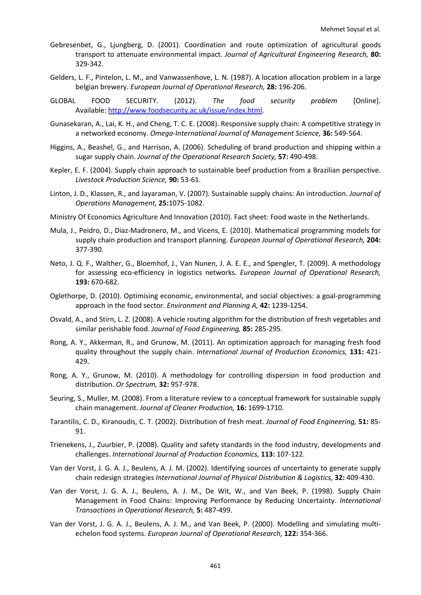- <span id="page-13-21"></span><span id="page-13-19"></span><span id="page-13-16"></span>Gebresenbet, G., Ljungberg, D. (2001). Coordination and route optimization of agricultural goods transport to attenuate environmental impact. *Journal of Agricultural Engineering Research,* **80:** 329-342.
- Gelders, L. F., Pintelon, L. M., and Vanwassenhove, L. N. (1987). A location allocation problem in a large belgian brewery. *European Journal of Operational Research,* **28:** 196-206.
- <span id="page-13-4"></span>GLOBAL FOOD SECURITY. (2012). *The food security problem* [Online]. Available: [http://www.foodsecurity.ac.uk/issue/index.html.](http://www.foodsecurity.ac.uk/issue/index.html)
- <span id="page-13-23"></span><span id="page-13-7"></span>Gunasekaran, A., Lai, K. H., and Cheng, T. C. E. (2008). Responsive supply chain: A competitive strategy in a networked economy. *Omega-International Journal of Management Science,* **36:** 549-564.
- <span id="page-13-22"></span>Higgins, A., Beashel, G., and Harrison, A. (2006). Scheduling of brand production and shipping within a sugar supply chain. *Journal of the Operational Research Society,* **57:** 490-498.
- <span id="page-13-25"></span><span id="page-13-1"></span>Kepler, E. F. (2004). Supply chain approach to sustainable beef production from a Brazilian perspective. *Livestock Production Science,* **90:** 53-61.
- <span id="page-13-24"></span><span id="page-13-0"></span>Linton, J. D., Klassen, R., and Jayaraman, V. (2007). Sustainable supply chains: An introduction. *Journal of Operations Management,* **25:**1075-1082.
- <span id="page-13-8"></span>Ministry Of Economics Agriculture And Innovation (2010). Fact sheet: Food waste in the Netherlands.
- <span id="page-13-20"></span><span id="page-13-6"></span>Mula, J., Peidro, D., Diaz-Madronero, M., and Vicens, E. (2010). Mathematical programming models for supply chain production and transport planning. *European Journal of Operational Research,* **204:** 377-390.
- <span id="page-13-2"></span>Neto, J. Q. F., Walther, G., Bloemhof, J., Van Nunen, J. A. E. E., and Spengler, T. (2009). A methodology for assessing eco-efficiency in logistics networks. *European Journal of Operational Research,* **193:** 670-682.
- <span id="page-13-15"></span>Oglethorpe, D. (2010). Optimising economic, environmental, and social objectives: a goal-programming approach in the food sector. *Environment and Planning A,* **42:** 1239-1254.
- <span id="page-13-17"></span><span id="page-13-14"></span>Osvald, A., and Stirn, L. Z. (2008). A vehicle routing algorithm for the distribution of fresh vegetables and similar perishable food. *Journal of Food Engineering,* **85:** 285-295.
- <span id="page-13-18"></span><span id="page-13-12"></span>Rong, A. Y., Akkerman, R., and Grunow, M. (2011). An optimization approach for managing fresh food quality throughout the supply chain. *International Journal of Production Economics,* **131:** 421- 429.
- <span id="page-13-13"></span>Rong, A. Y., Grunow, M. (2010). A methodology for controlling dispersion in food production and distribution. *Or Spectrum,* **32:** 957-978.
- <span id="page-13-9"></span>Seuring, S., Muller, M. (2008). From a literature review to a conceptual framework for sustainable supply chain management. *Journal of Cleaner Production,* **16:** 1699-1710.
- Tarantilis, C. D., Kiranoudis, C. T. (2002). Distribution of fresh meat. *Journal of Food Engineering,* **51:** 85- 91.
- <span id="page-13-3"></span>Trienekens, J., Zuurbier, P. (2008). Quality and safety standards in the food industry, developments and challenges. *International Journal of Production Economics,* **113:** 107-122.
- <span id="page-13-5"></span>Van der Vorst, J. G. A. J., Beulens, A. J. M. (2002). Identifying sources of uncertainty to generate supply chain redesign strategies *International Journal of Physical Distribution & Logistics,* **32:** 409-430.
- <span id="page-13-11"></span>Van der Vorst, J. G. A. J., Beulens, A. J. M., De Wit, W., and Van Beek, P. (1998). Supply Chain Management in Food Chains: Improving Performance by Reducing Uncertainty. *International Transactions in Operational Research,* **5:** 487-499.
- <span id="page-13-10"></span>Van der Vorst, J. G. A. J., Beulens, A. J. M., and Van Beek, P. (2000). Modelling and simulating multiechelon food systems. *European Journal of Operational Research,* **122:** 354-366.